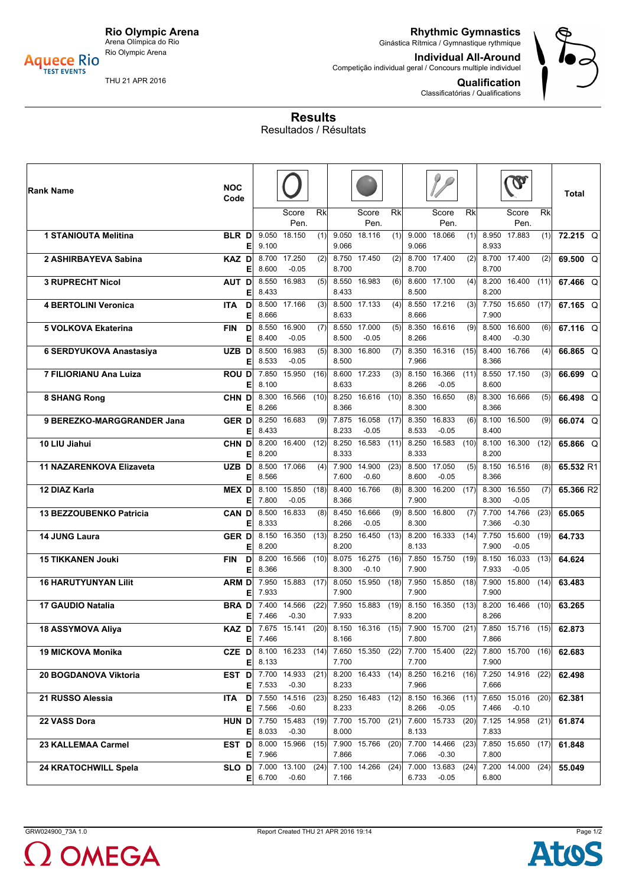

Rio Olympic Arena **Aquece Rio**<br>TEST EVENTS

**Rhythmic Gymnastics** Ginástica Rítmica / Gymnastique rythmique

**Individual All-Around** Competição individual geral / Concours multiple individuel

**Qualification**

Classificatórias / Qualifications



THU 21 APR 2016

**Results** Resultados / Résultats

| Rank Name                       | <b>NOC</b><br>Code                                     |                |                   |                          |                |                         |                 |                |                                     |      |                | $\mathbf{V}$                   |      | Total     |
|---------------------------------|--------------------------------------------------------|----------------|-------------------|--------------------------|----------------|-------------------------|-----------------|----------------|-------------------------------------|------|----------------|--------------------------------|------|-----------|
|                                 |                                                        |                | Score<br>Pen.     | $\overline{\mathsf{Rk}}$ |                | Score<br>Pen.           | $\overline{Rk}$ |                | Score<br>Pen.                       | Rk   |                | Score<br>Pen.                  | Rk   |           |
| <b>1 STANIOUTA Melitina</b>     | <b>BLR D</b><br>E                                      | 9.050<br>9.100 | 18.150            | (1)                      | 9.066          | 9.050 18.116            | (1)             | 9.000<br>9.066 | 18.066                              | (1)  | 8.950<br>8.933 | 17.883                         | (1)  | 72.215 Q  |
| 2 ASHIRBAYEVA Sabina            | <b>KAZ D</b><br>E                                      | 8.700<br>8.600 | 17.250<br>$-0.05$ | (2)                      | 8.700          | 8.750 17.450            | (2)             | 8.700          | 8.700 17.400                        | (2)  | 8.700          | 8.700 17.400                   | (2)  | 69.500 Q  |
| <b>3 RUPRECHT Nicol</b>         | AUT D<br>Е                                             | 8.550<br>8.433 | 16.983            | (5)                      | 8.433          | 8.550 16.983            | (6)             | 8.500          | 8.600 17.100                        | (4)  | 8.200<br>8.200 | 16.400                         | (11) | 67.466 Q  |
| <b>4 BERTOLINI Veronica</b>     | D<br>ITA.<br>Е                                         | 8.500<br>8.666 | 17.166            | (3)                      | 8.633          | 8.500 17.133            | (4)             | 8.666          | 8.550 17.216                        | (3)  | 7.900          | 7.750 15.650                   | (17) | 67.165 Q  |
| 5 VOLKOVA Ekaterina             | D<br><b>FIN</b><br>E                                   | 8.550<br>8.400 | 16.900<br>$-0.05$ | (7)                      | 8.500          | 8.550 17.000<br>$-0.05$ | (5)             | 8.266          | 8.350 16.616                        | (9)  | 8.500<br>8.400 | 16.600<br>$-0.30$              | (6)  | 67.116 Q  |
| 6 SERDYUKOVA Anastasiya         | UZB D<br>E                                             | 8.500<br>8.533 | 16.983<br>$-0.05$ | (5)                      | 8.500          | 8.300 16.800            | (7)             | 7.966          | 8.350 16.316                        | (15) | 8.400<br>8.366 | 16.766                         | (4)  | 66.865 Q  |
| 7 FILIORIANU Ana Luiza          | <b>ROUD</b><br>E                                       | 7.850<br>8.100 | 15.950            | (16)                     | 8.633          | 8.600 17.233            | (3)             | 8.266          | 8.150 16.366<br>$-0.05$             | (11) | 8.600          | 8.550 17.150                   | (3)  | 66.699 Q  |
| <b>8 SHANG Rong</b>             | CHN D<br>E                                             | 8.300<br>8.266 | 16.566            | (10)                     | 8.250<br>8.366 | 16.616                  | (10)            | 8.350<br>8.300 | 16.650                              | (8)  | 8.300<br>8.366 | 16.666                         | (5)  | 66.498 Q  |
| 9 BEREZKO-MARGGRANDER Jana      | <b>GERD</b><br>Е                                       | 8.250<br>8.433 | 16.683            | (9)                      | 7.875<br>8.233 | 16.058<br>$-0.05$       | (17)            | 8.350<br>8.533 | 16.833<br>$-0.05$                   | (6)  | 8.100<br>8.400 | 16.500                         | (9)  | 66.074 Q  |
| 10 LIU Jiahui                   | CHN D<br>E                                             | 8.200<br>8.200 | 16.400            | (12)                     | 8.333          | 8.250 16.583            | (11)            | 8.250<br>8.333 | 16.583                              | (10) | 8.200          | 8.100 16.300                   | (12) | 65.866 Q  |
| <b>11 NAZARENKOVA Elizaveta</b> | UZB D<br>E                                             | 8.500<br>8.566 | 17.066            | (4)                      | 7.900<br>7.600 | 14.900<br>$-0.60$       | (23)            | 8.500<br>8.600 | 17.050<br>$-0.05$                   | (5)  | 8.366          | 8.150 16.516                   | (8)  | 65.532 R1 |
| 12 DIAZ Karla                   | <b>MEX D</b><br>Е                                      | 8.100<br>7.800 | 15.850<br>$-0.05$ | (18)                     | 8.366          | 8.400 16.766            | (8)             | 8.300<br>7.900 | 16.200                              | (17) | 8.300<br>8.300 | 16.550<br>$-0.05$              | (7)  | 65.366 R2 |
| 13 BEZZOUBENKO Patricia         | <b>CAN D</b><br>E                                      | 8.500<br>8.333 | 16.833            | (8)                      | 8.266          | 8.450 16.666<br>$-0.05$ | (9)             | 8.300          | 8.500 16.800                        | (7)  | 7.700<br>7.366 | 14.766<br>$-0.30$              | (23) | 65.065    |
| <b>14 JUNG Laura</b>            | <b>GERD</b><br>E                                       | 8.150<br>8.200 | 16.350            | (13)                     | 8.250<br>8.200 | 16.450                  | (13)            | 8.133          | 8.200 16.333                        | (14) | 7.750<br>7.900 | 15.600<br>$-0.05$              | (19) | 64.733    |
| <b>15 TIKKANEN Jouki</b>        | D<br><b>FIN</b><br>E                                   | 8.200<br>8.366 | 16.566            | (10)                     | 8.075<br>8.300 | 16.275<br>$-0.10$       | (16)            | 7.850<br>7.900 | 15.750                              | (19) | 8.150<br>7.933 | 16.033<br>$-0.05$              | (13) | 64.624    |
| <b>16 HARUTYUNYAN Lilit</b>     | <b>ARM D</b><br>Е                                      | 7.950<br>7.933 | 15.883            | (17)                     | 7.900          | 8.050 15.950            | (18)            | 7.900          | 7.950 15.850                        | (18) | 7.900<br>7.900 | 15.800                         | (14) | 63.483    |
| 17 GAUDIO Natalia               | <b>BRAD</b><br>Е                                       | 7.400<br>7.466 | 14.566<br>$-0.30$ | (22)                     | 7.933          | 7.950 15.883            | (19)            | 8.200          | 8.150 16.350                        | (13) | 8.266          | 8.200 16.466                   | (10) | 63.265    |
| 18 ASSYMOVA Aliya               | <b>KAZ D</b>                                           | $E$ 7.466      | 7.675 15.141      | (20)                     | 8.166          | 8.150 16.316            | (15)            | 7.800          | 7.900 15.700                        | (21) | 7.866          | 7.850 15.716                   | (15) | 62.873    |
| 19 MICKOVA Monika               | <b>CZE D</b> 8.100 16.233 (14) 7.650 15.350 (22)<br>El | 8.133          |                   |                          | 7.700          |                         |                 | 7.700          | 7.700 15.400 (22) 7.800 15.700 (16) |      | 7.900          |                                |      | 62.683    |
| 20 BOGDANOVA Viktoria           | <b>EST D</b> $7.700$ 14.933<br>El                      | 7.533          | $-0.30$           | (21)                     | 8.233          | 8.200 16.433 (14)       |                 | 7.966          | 8.250 16.216                        |      | 7.666          | $(16)$ 7.250 14.916            | (22) | 62.498    |
| 21 RUSSO Alessia                | <b>ITA D</b> 7.550 14.516<br>El                        | 7.566          | $-0.60$           | (23)                     | 8.233          | $8.250$ 16.483 (12)     |                 | 8.266          | 8.150 16.366<br>$-0.05$             |      | 7.466          | $(11)$ 7.650 15.016<br>$-0.10$ | (20) | 62.381    |
| 22 VASS Dora                    | <b>HUN D</b> $7.750$ 15.483<br>EI                      | 8.033          | $-0.30$           | (19)                     | 8.000          | 7.700 15.700 (21)       |                 | 8.133          | 7.600 15.733                        |      | 7.833          | $(20)$ 7.125 14.958            | (21) | 61.874    |
| 23 KALLEMAA Carmel              | <b>EST D</b> 8.000 15.966<br>El                        | 7.966          |                   | (15)                     | 7.866          | 7.900 15.766 (20)       |                 | 7.066          | 7.700 14.466<br>$-0.30$             | (23) | 7.800          | 7.850 15.650                   | (17) | 61.848    |
| <b>24 KRATOCHWILL Spela</b>     | SLO D 7.000 13.100                                     | E  6.700       | $-0.60$           | (24)                     | 7.166          | 7.100 14.266 (24)       |                 |                | 7.000 13.683<br>6.733 -0.05         |      | 6.800          | $(24)$ 7.200 14.000 (24)       |      | 55.049    |



GRW024900\_73A 1.0 Page 1/2